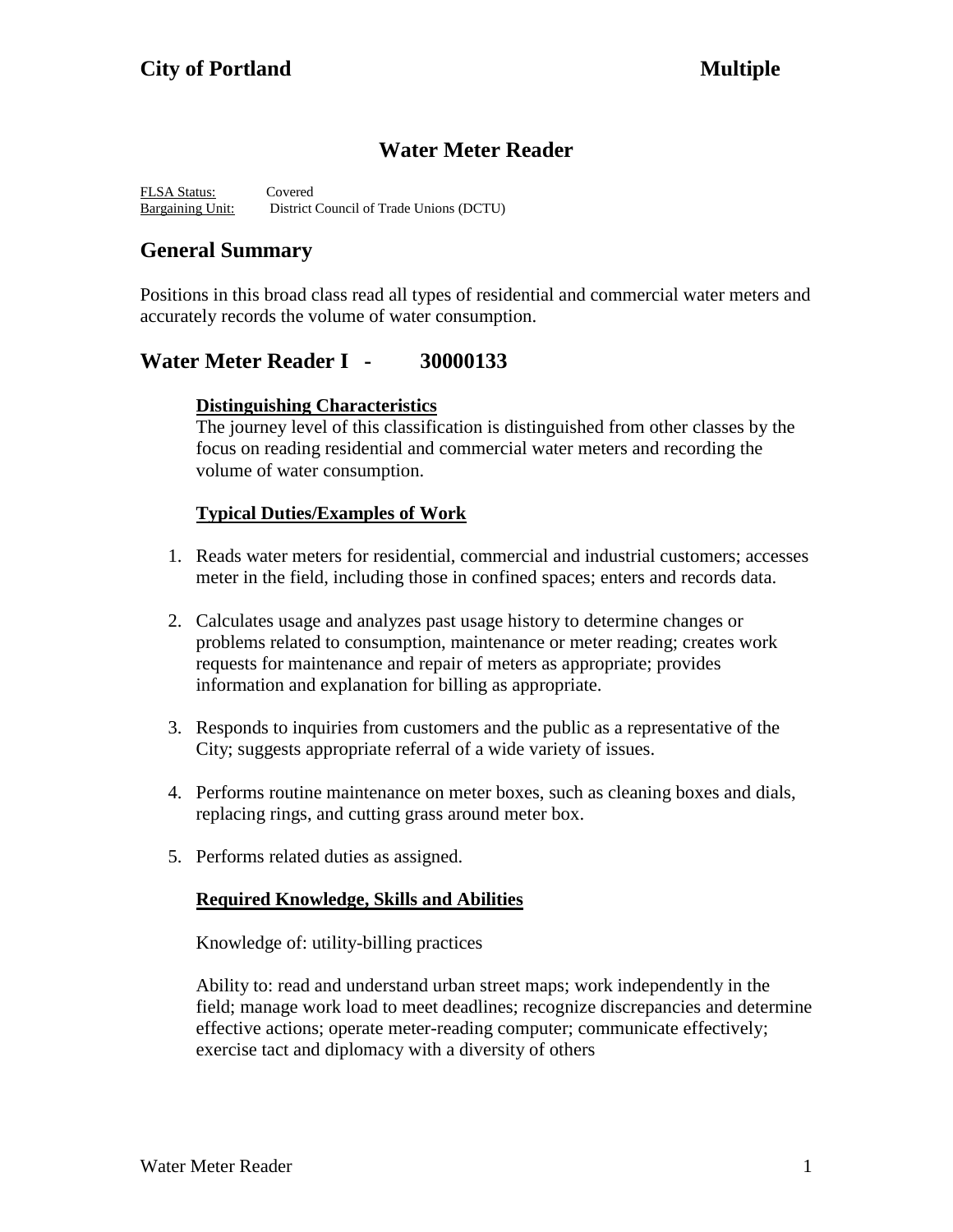# **Water Meter Reader**

FLSA Status: Covered Bargaining Unit: District Council of Trade Unions (DCTU)

# **General Summary**

Positions in this broad class read all types of residential and commercial water meters and accurately records the volume of water consumption.

## **Water Meter Reader I - 30000133**

#### **Distinguishing Characteristics**

The journey level of this classification is distinguished from other classes by the focus on reading residential and commercial water meters and recording the volume of water consumption.

#### **Typical Duties/Examples of Work**

- 1. Reads water meters for residential, commercial and industrial customers; accesses meter in the field, including those in confined spaces; enters and records data.
- 2. Calculates usage and analyzes past usage history to determine changes or problems related to consumption, maintenance or meter reading; creates work requests for maintenance and repair of meters as appropriate; provides information and explanation for billing as appropriate.
- 3. Responds to inquiries from customers and the public as a representative of the City; suggests appropriate referral of a wide variety of issues.
- 4. Performs routine maintenance on meter boxes, such as cleaning boxes and dials, replacing rings, and cutting grass around meter box.
- 5. Performs related duties as assigned.

#### **Required Knowledge, Skills and Abilities**

Knowledge of: utility-billing practices

Ability to: read and understand urban street maps; work independently in the field; manage work load to meet deadlines; recognize discrepancies and determine effective actions; operate meter-reading computer; communicate effectively; exercise tact and diplomacy with a diversity of others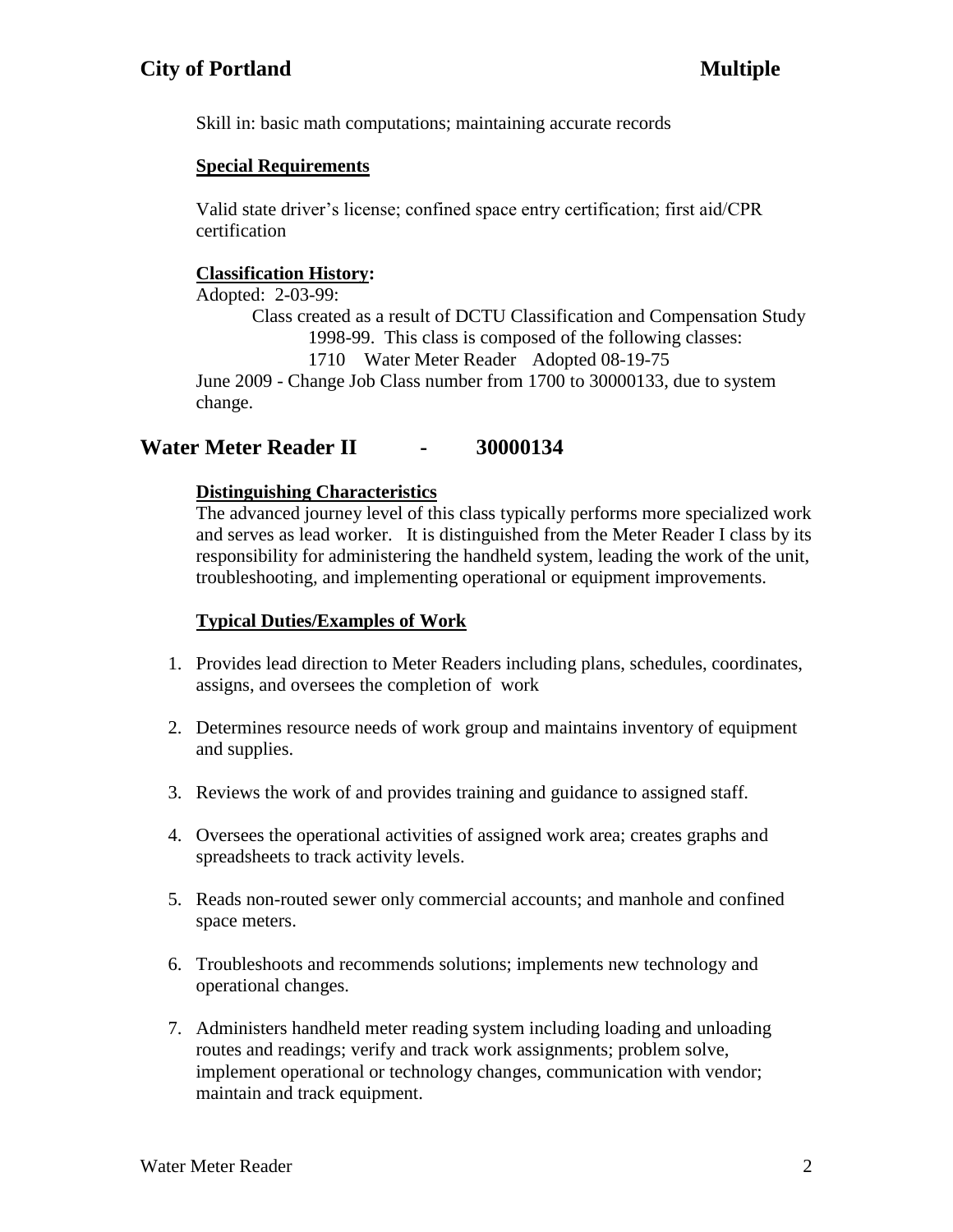Skill in: basic math computations; maintaining accurate records

### **Special Requirements**

Valid state driver's license; confined space entry certification; first aid/CPR certification

### **Classification History:**

Adopted: 2-03-99:

Class created as a result of DCTU Classification and Compensation Study 1998-99. This class is composed of the following classes:

1710 Water Meter Reader Adopted 08-19-75

June 2009 - Change Job Class number from 1700 to 30000133, due to system change.

# **Water Meter Reader II - 30000134**

### **Distinguishing Characteristics**

The advanced journey level of this class typically performs more specialized work and serves as lead worker. It is distinguished from the Meter Reader I class by its responsibility for administering the handheld system, leading the work of the unit, troubleshooting, and implementing operational or equipment improvements.

### **Typical Duties/Examples of Work**

- 1. Provides lead direction to Meter Readers including plans, schedules, coordinates, assigns, and oversees the completion of work
- 2. Determines resource needs of work group and maintains inventory of equipment and supplies.
- 3. Reviews the work of and provides training and guidance to assigned staff.
- 4. Oversees the operational activities of assigned work area; creates graphs and spreadsheets to track activity levels.
- 5. Reads non-routed sewer only commercial accounts; and manhole and confined space meters.
- 6. Troubleshoots and recommends solutions; implements new technology and operational changes.
- 7. Administers handheld meter reading system including loading and unloading routes and readings; verify and track work assignments; problem solve, implement operational or technology changes, communication with vendor; maintain and track equipment.